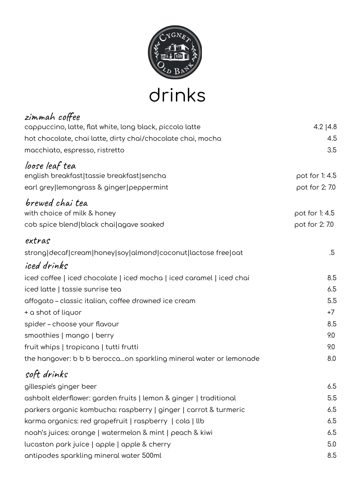

drinks

| zimmah coffee                                                        |                |
|----------------------------------------------------------------------|----------------|
| cappuccino, latte, flat white, long black, piccolo latte             | 4.2 $ 4.8$     |
| hot chocolate, chai latte, dirty chai/chocolate chai, mocha          | 4.5            |
| macchiato, espresso, ristretto                                       | 3.5            |
| loose leaf tea                                                       |                |
| english breakfast tassie breakfast sencha                            | pot for 1:4.5  |
| earl grey lemongrass & ginger peppermint                             | pot for 2: 7.0 |
| brewed chai tea                                                      |                |
| with choice of milk & honey                                          | pot for 1:4.5  |
| cob spice blend   black chai   agave soaked                          | pot for 2: 7.0 |
| extras                                                               |                |
| strong decaf cream honey soy almond coconut lactose free oat         | .5             |
| iced drinks                                                          |                |
| iced coffee   iced chocolate   iced mocha   iced caramel   iced chai | 8.5            |
| iced latte   tassie sunrise tea                                      | 6.5            |
| affogato – classic italian, coffee drowned ice cream                 | 5.5            |
| + a shot of liquor                                                   | $+7$           |
| spider - choose your flavour                                         | 8.5            |
| smoothies   mango   berry                                            | 9.0            |
| fruit whips   tropicana   tutti frutti                               | 9.0            |
| the hangover: b b b beroccaon sparkling mineral water or lemonade    | 8.0            |
| soft drinks                                                          |                |
| gillespie's ginger beer                                              | 6.5            |
| ashbolt elderflower: garden fruits   lemon & ginger   traditional    | 5.5            |
| parkers organic kombucha: raspberry   ginger   carrot & turmeric     | 6.5            |
| karma organics: red grapefruit   raspberry   cola   llb              | 6.5            |
| noah's juices: orange   watermelon & mint   peach & kiwi             | 6.5            |
| lucaston park juice   apple   apple & cherry                         | 5.0            |
| antipodes sparkling mineral water 500ml                              | 8.5            |
|                                                                      |                |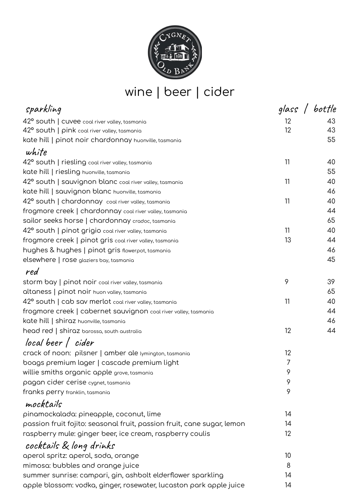

## wine | beer | cider

| sparkling                                                              | glass / bottle  |    |
|------------------------------------------------------------------------|-----------------|----|
| 42° south   cuvee coal river valley, tasmania                          | 12 <sup>2</sup> | 43 |
| 42° south   pink coal river valley, tasmania                           | 12              | 43 |
| kate hill   pinot noir chardonnay huonville, tasmania                  |                 | 55 |
| white                                                                  |                 |    |
| 42° south   riesling coal river valley, tasmania                       | 11              | 40 |
| kate hill   riesling huonville, tasmania                               |                 | 55 |
| 42° south   sauvignon blanc coal river valley, tasmania                | 11              | 40 |
| kate hill   sauvignon blanc huonville, tasmania                        |                 | 46 |
| 42° south   chardonnay coal river valley, tasmania                     | 11              | 40 |
| frogmore creek   chardonnay coal river valley, tasmania                |                 | 44 |
| sailor seeks horse   chardonnay cradoc, tasmania                       |                 | 65 |
| 42° south   pinot grigio coal river valley, tasmania                   | 11              | 40 |
| frogmore creek   pinot gris coal river valley, tasmania                | 13              | 44 |
| hughes & hughes   pinot gris flowerpot, tasmania                       |                 | 46 |
| elsewhere   rose glaziers bay, tasmania                                |                 | 45 |
| red                                                                    |                 |    |
| storm bay   pinot noir coal river valley, tasmania                     | 9               | 39 |
| altaness   pinot noir huon valley, tasmania                            |                 | 65 |
| 42° south   cab sav merlot coal river valley, tasmania                 | 11              | 40 |
| frogmore creek   cabernet sauvignon coal river valley, tasmania        |                 | 44 |
| kate hill   shiraz huonville, tasmania                                 |                 | 46 |
| head red   shiraz barossa, south australia                             | 12              | 44 |
| local beer / cider                                                     |                 |    |
| crack of noon: pilsner   amber ale lymington, tasmania                 | 12              |    |
| boags premium lager   cascade premium light                            | 7               |    |
| willie smiths organic apple grove, tasmania                            | 9               |    |
| pagan cider cerise cygnet, tasmania                                    | 9               |    |
| franks perry franklin, tasmania                                        | 9               |    |
| mocktails                                                              |                 |    |
| pinamockalada: pineapple, coconut, lime                                | 14              |    |
| passion fruit fojito: seasonal fruit, passion fruit, cane sugar, lemon | 14              |    |
| raspberry mule: ginger beer, ice cream, raspberry coulis               | 12              |    |
| cocktails & long drinks                                                |                 |    |
| aperol spritz: aperol, soda, orange                                    | 10              |    |
| mimosa: bubbles and orange juice                                       | 8               |    |
| summer sunrise: campari, gin, ashbolt elderflower sparkling            | 14              |    |
| apple blossom: vodka, ginger, rosewater, lucaston park apple juice     | 14              |    |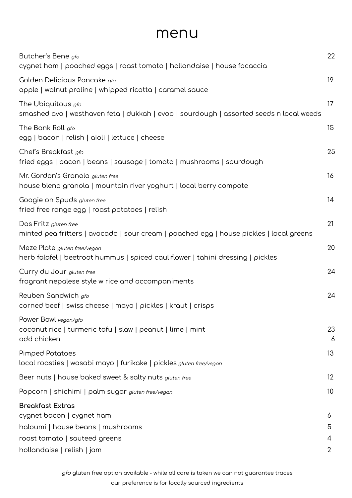## menu

| Butcher's Bene gfo<br>cygnet ham   poached eggs   roast tomato   hollandaise   house focaccia                    | 22              |
|------------------------------------------------------------------------------------------------------------------|-----------------|
| Golden Delicious Pancake gfo<br>apple   walnut praline   whipped ricotta   caramel sauce                         | 19              |
| The Ubiquitous gfo<br>smashed avo   westhaven feta   dukkah   evoo   sourdough   assorted seeds n local weeds    | 17              |
| The Bank Roll gfo<br>egg   bacon   relish   aioli   lettuce   cheese                                             | 15              |
| Chef's Breakfast gfo<br>fried eggs   bacon   beans   sausage   tomato   mushrooms   sourdough                    | 25              |
| Mr. Gordon's Granola gluten free<br>house blend granola   mountain river yoghurt   local berry compote           | 16              |
| Googie on Spuds gluten free<br>fried free range egg   roast potatoes   relish                                    | 14              |
| Das Fritz gluten free<br>minted pea fritters   avocado   sour cream   poached egg   house pickles   local greens | 21              |
| Meze Plate gluten free/vegan<br>herb falafel   beetroot hummus   spiced cauliflower   tahini dressing   pickles  | 20              |
| Curry du Jour gluten free<br>fragrant nepalese style w rice and accompaniments                                   | 24              |
| Reuben Sandwich gfo<br>corned beef   swiss cheese   mayo   pickles   kraut   crisps                              | 24              |
| Power Bowl vegan/gfo<br>coconut rice   turmeric tofu   slaw   peanut   lime   mint<br>add chicken                | 23<br>6         |
| <b>Pimped Potatoes</b><br>local roasties   wasabi mayo   furikake   pickles gluten free/vegan                    | 13              |
| Beer nuts   house baked sweet & salty nuts gluten free                                                           | $12 \,$         |
| Popcorn   shichimi   palm sugar gluten free/vegan                                                                | 10 <sup>°</sup> |
| <b>Breakfast Extras</b><br>cygnet bacon   cygnet ham                                                             | 6               |
| haloumi   house beans   mushrooms<br>roast tomato   sauteed greens                                               | 5<br>4          |
| hollandaise   relish   jam                                                                                       | 2               |